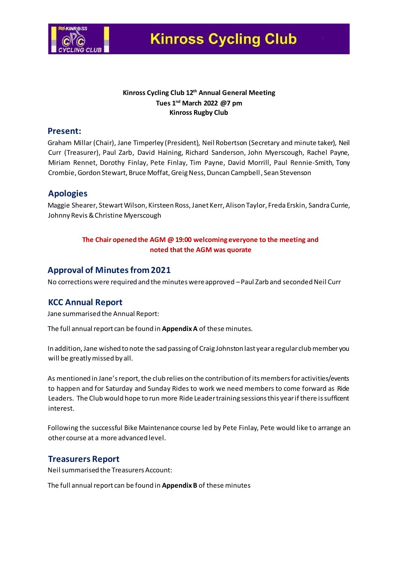

### **Kinross Cycling Club 12 th Annual General Meeting Tues 1 nd March 2022 @7 pm Kinross Rugby Club**

### **Present:**

Graham Millar (Chair), Jane Timperley (President), Neil Robertson (Secretary and minute taker), Neil Curr (Treasurer), Paul Zarb, David Haining, Richard Sanderson, John Myerscough, Rachel Payne, Miriam Rennet, Dorothy Finlay, Pete Finlay, Tim Payne, David Morrill, Paul Rennie-Smith, Tony Crombie, Gordon Stewart, Bruce Moffat, Greig Ness, Duncan Campbell, Sean Stevenson

## **Apologies**

Maggie Shearer, Stewart Wilson, Kirsteen Ross, Janet Kerr, Alison Taylor, Freda Erskin, Sandra Currie, Johnny Revis&Christine Myerscough

### **The Chair opened the AGM @ 19:00 welcoming everyone to the meeting and noted that the AGM was quorate**

## **Approval of Minutes from 2021**

No corrections were required and the minutes were approved –Paul Zarb and seconded Neil Curr

## **KCC Annual Report**

Jane summarised the Annual Report:

The full annual report can be found in **Appendix A** of these minutes.

In addition, Jane wished to note the sad passing of Craig Johnston last year a regular club member you will be greatly missed by all.

As mentioned in Jane's report, the club relies on the contribution of its members for activities/events to happen and for Saturday and Sunday Rides to work we need members to come forward as Ride Leaders. The Club would hope to run more Ride Leader training sessions this year if there is sufficent interest.

Following the successful Bike Maintenance course led by Pete Finlay, Pete would like to arrange an other course at a more advanced level.

## **Treasurers Report**

Neil summarised the Treasurers Account:

The full annual report can be found in **Appendix B** of these minutes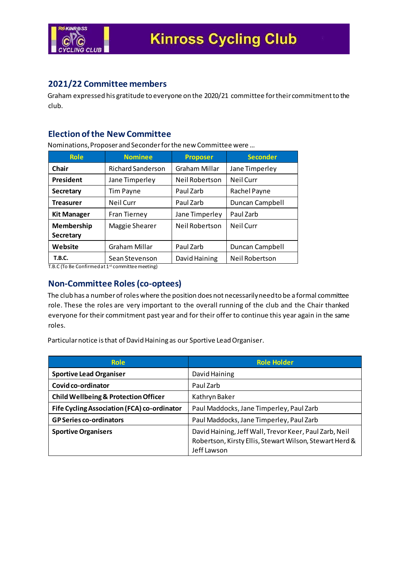

## **2021/22 Committee members**

Graham expressed his gratitude to everyone on the 2020/21 committee for their commitment to the club.

## **Election of the New Committee**

Nominations, Proposer and Seconder for the new Committee were …

| <b>Role</b>        | <b>Nominee</b>           | <b>Proposer</b> | <b>Seconder</b>       |
|--------------------|--------------------------|-----------------|-----------------------|
| <b>Chair</b>       | <b>Richard Sanderson</b> | Graham Millar   | Jane Timperley        |
| President          | Jane Timperley           | Neil Robertson  | <b>Neil Curr</b>      |
| <b>Secretary</b>   | <b>Tim Payne</b>         | Paul Zarb       | Rachel Payne          |
| <b>Treasurer</b>   | <b>Neil Curr</b>         | Paul Zarb       | Duncan Campbell       |
| <b>Kit Manager</b> | <b>Fran Tierney</b>      | Jane Timperley  | Paul Zarb             |
| Membership         | Maggie Shearer           | Neil Robertson  | Neil Curr             |
| <b>Secretary</b>   |                          |                 |                       |
| Website            | <b>Graham Millar</b>     | Paul Zarb       | Duncan Campbell       |
| <b>T.B.C.</b>      | Sean Stevenson           | David Haining   | <b>Neil Robertson</b> |

T.B.C (To Be Confirmed at 1st committee meeting)

## **Non-Committee Roles (co-optees)**

The club has a number of roles where the position does not necessarily need to be a formal committee role. These the roles are very important to the overall running of the club and the Chair thanked everyone for their commitment past year and for their offer to continue this year again in the same roles.

Particular notice is that of David Haining as our Sportive Lead Organiser.

| <b>Role</b>                                     | <b>Role Holder</b>                                      |  |
|-------------------------------------------------|---------------------------------------------------------|--|
| <b>Sportive Lead Organiser</b>                  | David Haining                                           |  |
| Covid co-ordinator                              | Paul Zarb                                               |  |
| <b>Child Wellbeing &amp; Protection Officer</b> | Kathryn Baker                                           |  |
| Fife Cycling Association (FCA) co-ordinator     | Paul Maddocks, Jane Timperley, Paul Zarb                |  |
| <b>GP Series co-ordinators</b>                  | Paul Maddocks, Jane Timperley, Paul Zarb                |  |
| <b>Sportive Organisers</b>                      | David Haining, Jeff Wall, Trevor Keer, Paul Zarb, Neil  |  |
|                                                 | Robertson, Kirsty Ellis, Stewart Wilson, Stewart Herd & |  |
|                                                 | Jeff Lawson                                             |  |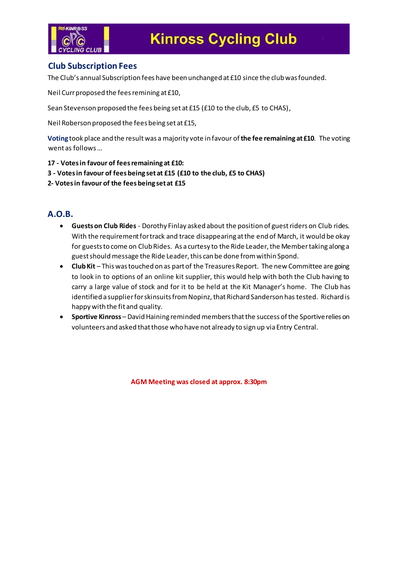

## **Club Subscription Fees**

The Club's annual Subscription fees have been unchanged at £10 since the club was founded.

Neil Curr proposed the fees remining at £10,

Sean Stevenson proposed the fees being set at £15 (£10 to the club, £5 to CHAS),

Neil Roberson proposed the fees being set at £15,

**Voting** took place and the result was a majority vote in favour of **the fee remaining at £10**. The voting went as follows …

- **17 - Votes in favour of fees remaining at £10:**
- **3 - Votes in favour of fees being set at £15 (£10 to the club, £5 to CHAS)**

**2- Votes in favour of the fees being set at £15**

## **A.O.B.**

- **Guests on Club Rides** Dorothy Finlay asked about the position of guest riders on Club rides. With the requirement for track and trace disappearing at the end of March, it would be okay for guests to come on Club Rides. As a curtesy to the Ride Leader, the Member taking along a guest should message the Ride Leader, this can be done from within Spond.
- **Club Kit**  This was touched on as part of the Treasures Report. The new Committee are going to look in to options of an online kit supplier, this would help with both the Club having to carry a large value of stock and for it to be held at the Kit Manager's home. The Club has identified a supplier for skinsuits from Nopinz, that Richard Sanderson has tested. Richard is happy with the fit and quality.
- **Sportive Kinross**  David Haining reminded members that the success of the Sportive relies on volunteers and asked that those who have not already to sign up via Entry Central.

**AGM Meeting was closed at approx. 8:30pm**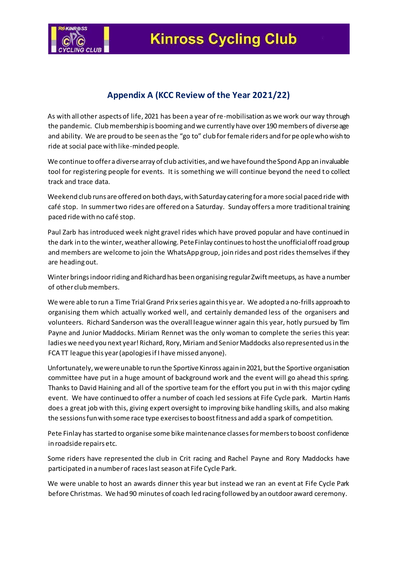

# **Appendix A (KCC Review of the Year 2021/22)**

As with all other aspects of life, 2021 has been a year of re-mobilisation as we work our way through the pandemic. Club membership is booming and we currently have over 190 members of diverse age and ability. We are proud to be seen as the "go to" club for female riders and for people who wish to ride at social pace with like-minded people.

We continue to offer a diverse array of club activities, and we have found the Spond App an invaluable tool for registering people for events. It is something we will continue beyond the need to collect track and trace data.

Weekend club runs are offered on both days, with Saturday catering for a more social paced ride with café stop. In summer two rides are offered on a Saturday. Sunday offers a more traditional training paced ride with no café stop.

Paul Zarb has introduced week night gravel rides which have proved popular and have continued in the dark in to the winter, weather allowing. Pete Finlay continues to host the unofficial off road group and members are welcome to join the WhatsApp group, join rides and post rides themselves if they are heading out.

Winter brings indoor riding and Richard has been organising regular Zwift meetups, as have a number of other club members.

We were able to run a Time Trial Grand Prix series again this year. We adopted a no-frills approach to organising them which actually worked well, and certainly demanded less of the organisers and volunteers. Richard Sanderson was the overall league winner again this year, hotly pursued by Tim Payne and Junior Maddocks. Miriam Rennet was the only woman to complete the series this year: ladies we need you next year! Richard, Rory, Miriam and Senior Maddocks also represented us in the FCA TT league this year (apologies if I have missed anyone).

Unfortunately, we were unable to run the Sportive Kinross again in 2021, but the Sportive organisation committee have put in a huge amount of background work and the event will go ahead this spring. Thanks to David Haining and all of the sportive team for the effort you put in with this major cycling event. We have continued to offer a number of coach led sessions at Fife Cycle park. Martin Harris does a great job with this, giving expert oversight to improving bike handling skills, and also making the sessions fun with some race type exercises to boost fitness and add a spark of competition.

Pete Finlay has started to organise some bike maintenance classes for members to boost confidence in roadside repairs etc.

Some riders have represented the club in Crit racing and Rachel Payne and Rory Maddocks have participated in a number of races last season at Fife Cycle Park.

We were unable to host an awards dinner this year but instead we ran an event at Fife Cycle Park before Christmas. We had 90 minutes of coach led racing followed by an outdoor award ceremony.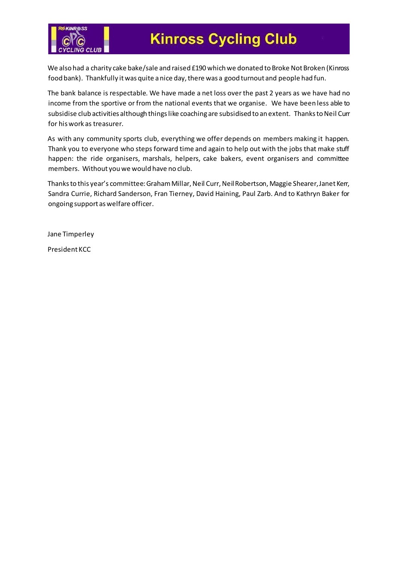

We also had a charity cake bake/sale and raised £190 which we donated to Broke Not Broken (Kinross food bank). Thankfully it was quite a nice day, there was a good turnout and people had fun.

The bank balance is respectable. We have made a net loss over the past 2 years as we have had no income from the sportive or from the national events that we organise. We have been less able to subsidise club activities although things like coaching are subsidised to an extent. Thanks to Neil Curr for his work as treasurer.

As with any community sports club, everything we offer depends on members making it happen. Thank you to everyone who steps forward time and again to help out with the jobs that make stuff happen: the ride organisers, marshals, helpers, cake bakers, event organisers and committee members. Without you we would have no club.

Thanks to this year's committee: Graham Millar, Neil Curr, Neil Robertson, Maggie Shearer, Janet Kerr, Sandra Currie, Richard Sanderson, Fran Tierney, David Haining, Paul Zarb. And to Kathryn Baker for ongoing support as welfare officer.

Jane Timperley

President KCC